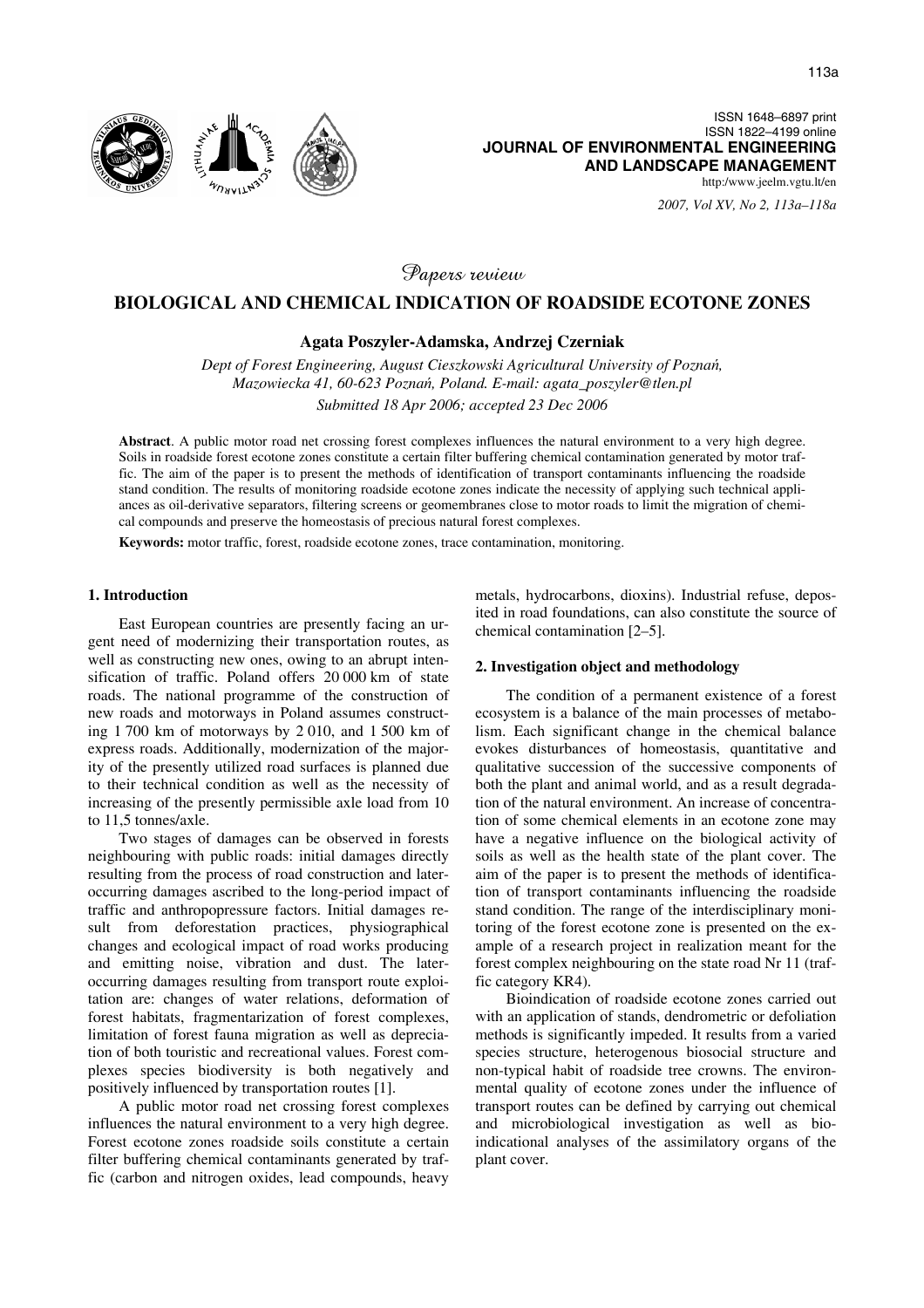*2007, Vol XV, No 2, 113a–118a*

Papers review

# **BIOLOGICAL AND CHEMICAL INDICATION OF ROADSIDE ECOTONE ZONES**

# **Agata Poszyler-Adamska, Andrzej Czerniak**

*Dept of Forest Engineering, August Cieszkowski Agricultural University of Pozna*ń*, Mazowiecka 41, 60-623 Pozna*ń*, Poland. E-mail: agata\_poszyler@tlen.pl* 

*Submitted 18 Apr 2006; accepted 23 Dec 2006* 

**Abstract**. A public motor road net crossing forest complexes influences the natural environment to a very high degree. Soils in roadside forest ecotone zones constitute a certain filter buffering chemical contamination generated by motor traffic. The aim of the paper is to present the methods of identification of transport contaminants influencing the roadside stand condition. The results of monitoring roadside ecotone zones indicate the necessity of applying such technical appliances as oil-derivative separators, filtering screens or geomembranes close to motor roads to limit the migration of chemical compounds and preserve the homeostasis of precious natural forest complexes.

**Keywords:** motor traffic, forest, roadside ecotone zones, trace contamination, monitoring.

### **1. Introduction**

East European countries are presently facing an urgent need of modernizing their transportation routes, as well as constructing new ones, owing to an abrupt intensification of traffic. Poland offers 20 000 km of state roads. The national programme of the construction of new roads and motorways in Poland assumes constructing 1 700 km of motorways by 2 010, and 1 500 km of express roads. Additionally, modernization of the majority of the presently utilized road surfaces is planned due to their technical condition as well as the necessity of increasing of the presently permissible axle load from 10 to 11,5 tonnes/axle.

Two stages of damages can be observed in forests neighbouring with public roads: initial damages directly resulting from the process of road construction and lateroccurring damages ascribed to the long-period impact of traffic and anthropopressure factors. Initial damages result from deforestation practices, physiographical changes and ecological impact of road works producing and emitting noise, vibration and dust. The lateroccurring damages resulting from transport route exploitation are: changes of water relations, deformation of forest habitats, fragmentarization of forest complexes, limitation of forest fauna migration as well as depreciation of both touristic and recreational values. Forest complexes species biodiversity is both negatively and positively influenced by transportation routes [1].

A public motor road net crossing forest complexes influences the natural environment to a very high degree. Forest ecotone zones roadside soils constitute a certain filter buffering chemical contaminants generated by traffic (carbon and nitrogen oxides, lead compounds, heavy metals, hydrocarbons, dioxins). Industrial refuse, deposited in road foundations, can also constitute the source of chemical contamination [2–5].

#### **2. Investigation object and methodology**

The condition of a permanent existence of a forest ecosystem is a balance of the main processes of metabolism. Each significant change in the chemical balance evokes disturbances of homeostasis, quantitative and qualitative succession of the successive components of both the plant and animal world, and as a result degradation of the natural environment. An increase of concentration of some chemical elements in an ecotone zone may have a negative influence on the biological activity of soils as well as the health state of the plant cover. The aim of the paper is to present the methods of identification of transport contaminants influencing the roadside stand condition. The range of the interdisciplinary monitoring of the forest ecotone zone is presented on the example of a research project in realization meant for the forest complex neighbouring on the state road Nr 11 (traffic category KR4).

Bioindication of roadside ecotone zones carried out with an application of stands, dendrometric or defoliation methods is significantly impeded. It results from a varied species structure, heterogenous biosocial structure and non-typical habit of roadside tree crowns. The environmental quality of ecotone zones under the influence of transport routes can be defined by carrying out chemical and microbiological investigation as well as bioindicational analyses of the assimilatory organs of the plant cover.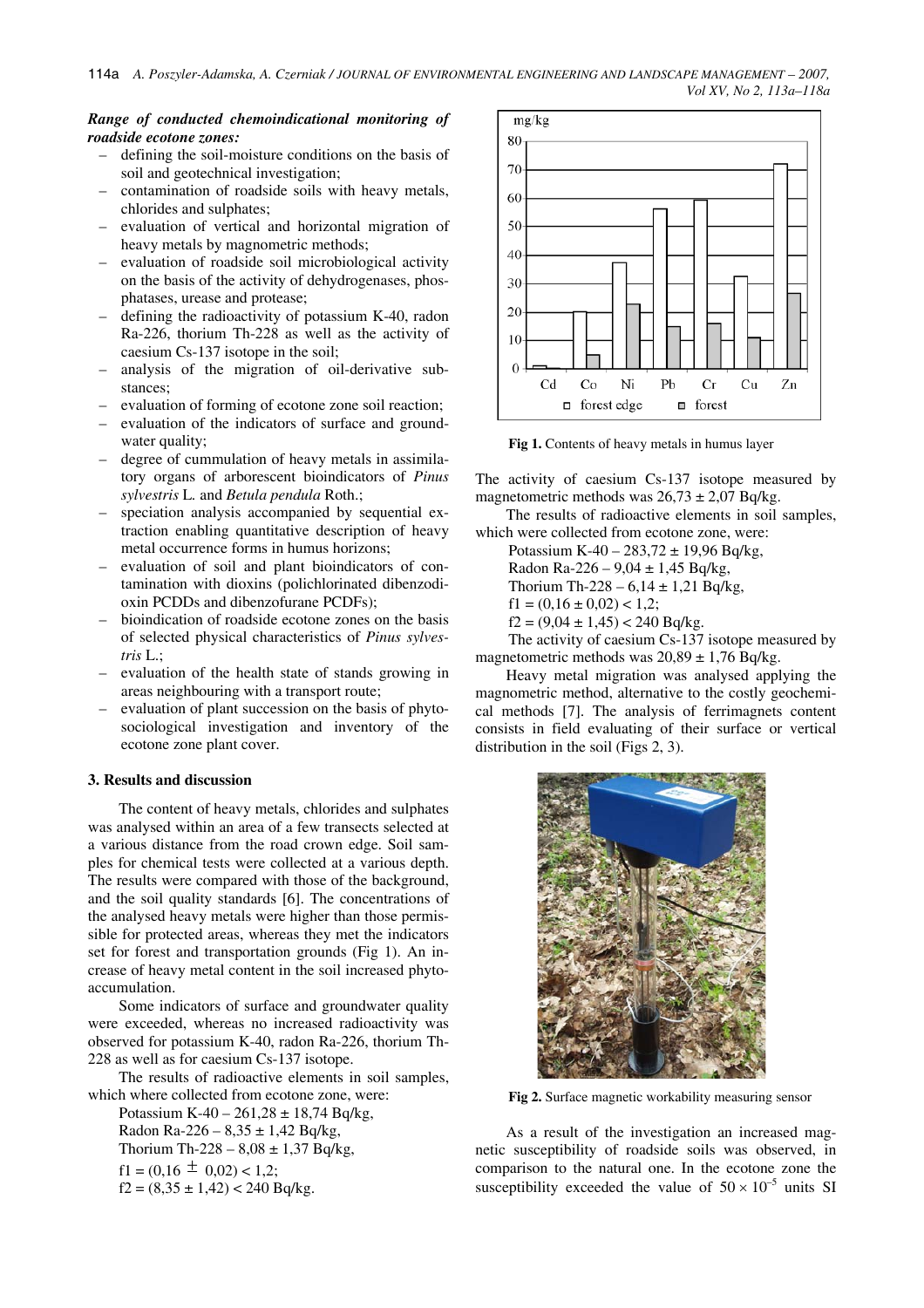# *Range of conducted chemoindicational monitoring of roadside ecotone zones:*

- defining the soil-moisture conditions on the basis of soil and geotechnical investigation;
- contamination of roadside soils with heavy metals, chlorides and sulphates;
- evaluation of vertical and horizontal migration of heavy metals by magnometric methods;
- evaluation of roadside soil microbiological activity on the basis of the activity of dehydrogenases, phosphatases, urease and protease;
- defining the radioactivity of potassium K-40, radon Ra-226, thorium Th-228 as well as the activity of caesium Cs-137 isotope in the soil;
- analysis of the migration of oil-derivative substances;
- evaluation of forming of ecotone zone soil reaction;
- evaluation of the indicators of surface and groundwater quality;
- degree of cummulation of heavy metals in assimilatory organs of arborescent bioindicators of *Pinus sylvestris* L*.* and *Betula pendula* Roth.;
- speciation analysis accompanied by sequential extraction enabling quantitative description of heavy metal occurrence forms in humus horizons;
- evaluation of soil and plant bioindicators of contamination with dioxins (polichlorinated dibenzodioxin PCDDs and dibenzofurane PCDFs);
- bioindication of roadside ecotone zones on the basis of selected physical characteristics of *Pinus sylvestris* L.;
- evaluation of the health state of stands growing in areas neighbouring with a transport route;
- evaluation of plant succession on the basis of phytosociological investigation and inventory of the ecotone zone plant cover.

# **3. Results and discussion**

The content of heavy metals, chlorides and sulphates was analysed within an area of a few transects selected at a various distance from the road crown edge. Soil samples for chemical tests were collected at a various depth. The results were compared with those of the background, and the soil quality standards [6]. The concentrations of the analysed heavy metals were higher than those permissible for protected areas, whereas they met the indicators set for forest and transportation grounds (Fig 1). An increase of heavy metal content in the soil increased phytoaccumulation.

Some indicators of surface and groundwater quality were exceeded, whereas no increased radioactivity was observed for potassium K-40, radon Ra-226, thorium Th-228 as well as for caesium Cs-137 isotope.

The results of radioactive elements in soil samples, which where collected from ecotone zone, were:

Potassium K-40 – 261,28  $\pm$  18,74 Bq/kg, Radon Ra-226 –  $8,35 \pm 1,42$  Bq/kg, Thorium Th-228 –  $8,08 \pm 1,37$  Bq/kg,  $f1 = (0.16 \pm 0.02) < 1.2$ ;  $f2 = (8,35 \pm 1,42) < 240$  Bq/kg.



**Fig 1.** Contents of heavy metals in humus layer

The activity of caesium Cs-137 isotope measured by magnetometric methods was  $26.73 \pm 2.07$  Bq/kg.

The results of radioactive elements in soil samples, which were collected from ecotone zone, were:

Potassium K-40 – 283,72 ± 19,96 Bq/kg,

Radon Ra-226 –  $9,04 \pm 1,45$  Bq/kg,

Thorium Th-228 –  $6,14 \pm 1,21$  Bq/kg,

 $f1 = (0.16 \pm 0.02) < 1.2$ ;

 $f2 = (9.04 \pm 1.45) < 240$  Bg/kg.

The activity of caesium Cs-137 isotope measured by magnetometric methods was  $20,89 \pm 1,76$  Bq/kg.

Heavy metal migration was analysed applying the magnometric method, alternative to the costly geochemical methods [7]. The analysis of ferrimagnets content consists in field evaluating of their surface or vertical distribution in the soil (Figs 2, 3).



**Fig 2.** Surface magnetic workability measuring sensor

As a result of the investigation an increased magnetic susceptibility of roadside soils was observed, in comparison to the natural one. In the ecotone zone the susceptibility exceeded the value of  $50 \times 10^{-5}$  units SI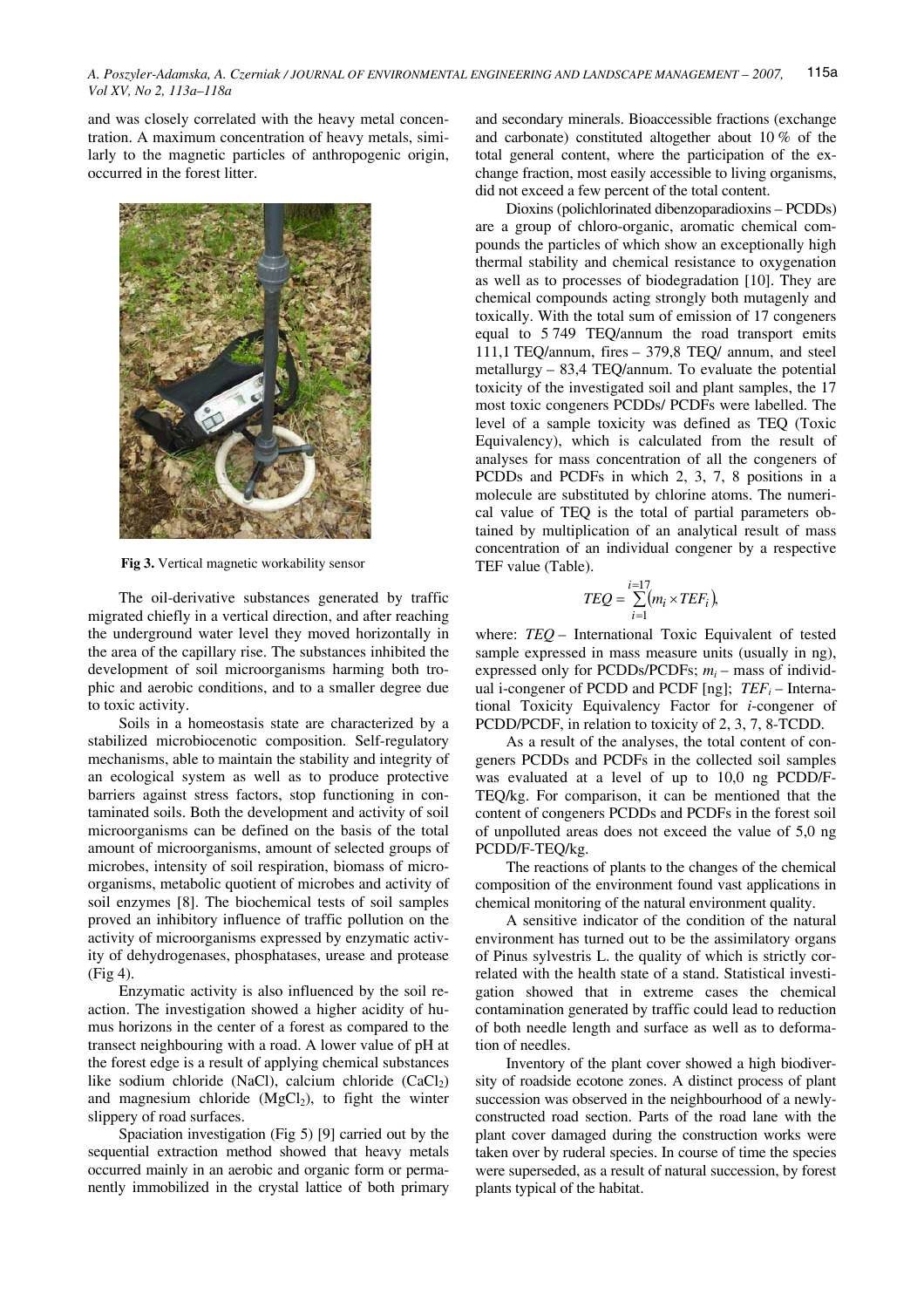and was closely correlated with the heavy metal concentration. A maximum concentration of heavy metals, similarly to the magnetic particles of anthropogenic origin, occurred in the forest litter.



**Fig 3.** Vertical magnetic workability sensor

The oil-derivative substances generated by traffic migrated chiefly in a vertical direction, and after reaching the underground water level they moved horizontally in the area of the capillary rise. The substances inhibited the development of soil microorganisms harming both trophic and aerobic conditions, and to a smaller degree due to toxic activity.

Soils in a homeostasis state are characterized by a stabilized microbiocenotic composition. Self-regulatory mechanisms, able to maintain the stability and integrity of an ecological system as well as to produce protective barriers against stress factors, stop functioning in contaminated soils. Both the development and activity of soil microorganisms can be defined on the basis of the total amount of microorganisms, amount of selected groups of microbes, intensity of soil respiration, biomass of microorganisms, metabolic quotient of microbes and activity of soil enzymes [8]. The biochemical tests of soil samples proved an inhibitory influence of traffic pollution on the activity of microorganisms expressed by enzymatic activity of dehydrogenases, phosphatases, urease and protease (Fig 4).

Enzymatic activity is also influenced by the soil reaction. The investigation showed a higher acidity of humus horizons in the center of a forest as compared to the transect neighbouring with a road. A lower value of pH at the forest edge is a result of applying chemical substances like sodium chloride (NaCl), calcium chloride  $(CaCl<sub>2</sub>)$ and magnesium chloride  $(MgCl<sub>2</sub>)$ , to fight the winter slippery of road surfaces.

Spaciation investigation (Fig 5) [9] carried out by the sequential extraction method showed that heavy metals occurred mainly in an aerobic and organic form or permanently immobilized in the crystal lattice of both primary and secondary minerals. Bioaccessible fractions (exchange and carbonate) constituted altogether about 10 % of the total general content, where the participation of the exchange fraction, most easily accessible to living organisms, did not exceed a few percent of the total content.

Dioxins (polichlorinated dibenzoparadioxins – PCDDs) are a group of chloro-organic, aromatic chemical compounds the particles of which show an exceptionally high thermal stability and chemical resistance to oxygenation as well as to processes of biodegradation [10]. They are chemical compounds acting strongly both mutagenly and toxically. With the total sum of emission of 17 congeners equal to 5 749 TEQ/annum the road transport emits 111,1 TEQ/annum, fires – 379,8 TEQ/ annum, and steel metallurgy – 83,4 TEQ/annum. To evaluate the potential toxicity of the investigated soil and plant samples, the 17 most toxic congeners PCDDs/ PCDFs were labelled. The level of a sample toxicity was defined as TEQ (Toxic Equivalency), which is calculated from the result of analyses for mass concentration of all the congeners of PCDDs and PCDFs in which 2, 3, 7, 8 positions in a molecule are substituted by chlorine atoms. The numerical value of TEQ is the total of partial parameters obtained by multiplication of an analytical result of mass concentration of an individual congener by a respective TEF value (Table).

$$
TEQ = \sum_{i=1}^{i=17} (m_i \times TEF_i),
$$

where: *TEQ* – International Toxic Equivalent of tested sample expressed in mass measure units (usually in ng), expressed only for PCDDs/PCDFs;  $m_i$  – mass of individual i-congener of PCDD and PCDF  $[ng]$ ;  $TEF_i$  – International Toxicity Equivalency Factor for *i*-congener of PCDD/PCDF, in relation to toxicity of 2, 3, 7, 8-TCDD.

As a result of the analyses, the total content of congeners PCDDs and PCDFs in the collected soil samples was evaluated at a level of up to 10,0 ng PCDD/F-TEQ/kg. For comparison, it can be mentioned that the content of congeners PCDDs and PCDFs in the forest soil of unpolluted areas does not exceed the value of 5,0 ng PCDD/F-TEQ/kg.

The reactions of plants to the changes of the chemical composition of the environment found vast applications in chemical monitoring of the natural environment quality.

A sensitive indicator of the condition of the natural environment has turned out to be the assimilatory organs of Pinus sylvestris L. the quality of which is strictly correlated with the health state of a stand. Statistical investigation showed that in extreme cases the chemical contamination generated by traffic could lead to reduction of both needle length and surface as well as to deformation of needles.

Inventory of the plant cover showed a high biodiversity of roadside ecotone zones. A distinct process of plant succession was observed in the neighbourhood of a newlyconstructed road section. Parts of the road lane with the plant cover damaged during the construction works were taken over by ruderal species. In course of time the species were superseded, as a result of natural succession, by forest plants typical of the habitat.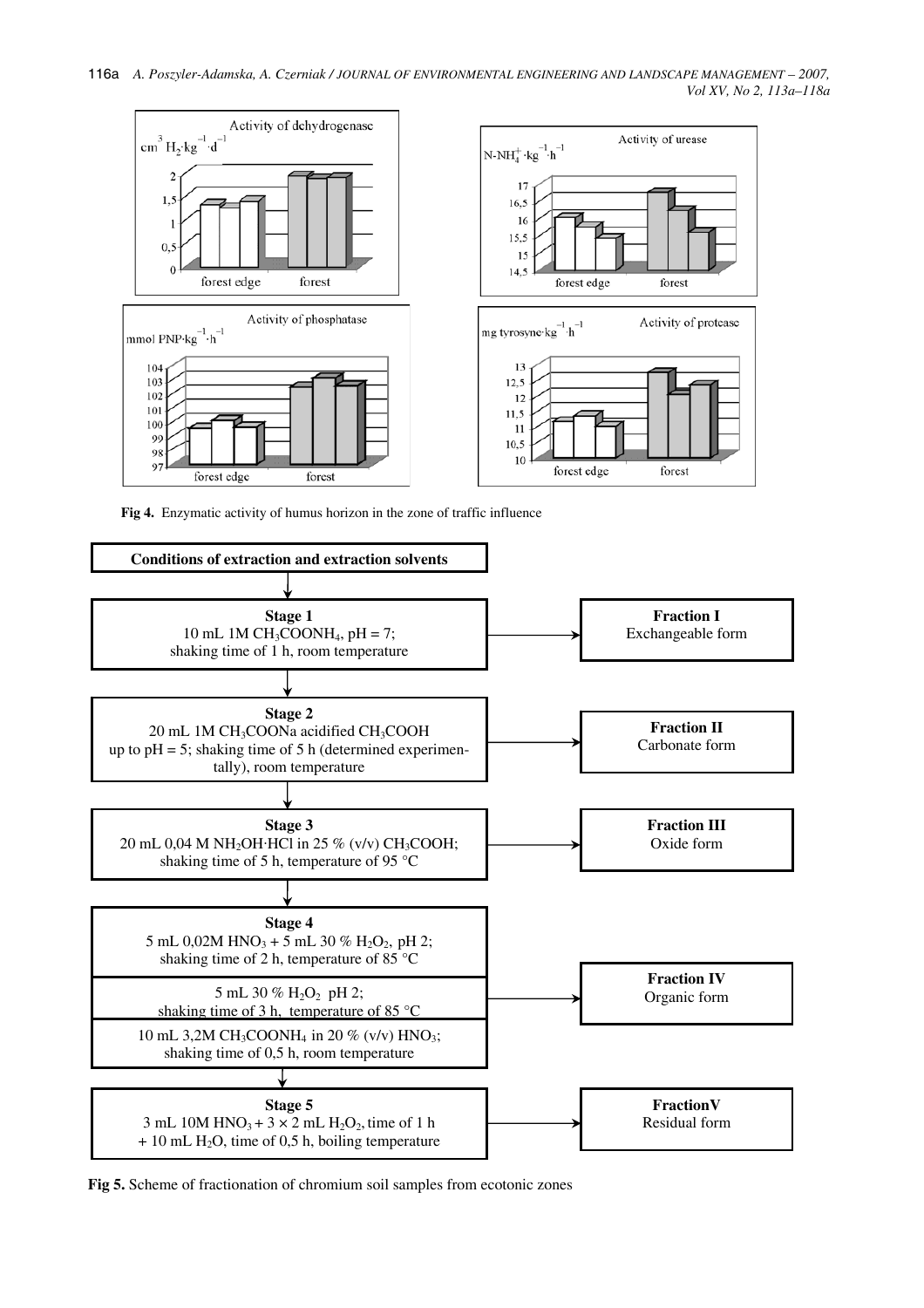

**Fig 4.** Enzymatic activity of humus horizon in the zone of traffic influence



**Fig 5.** Scheme of fractionation of chromium soil samples from ecotonic zones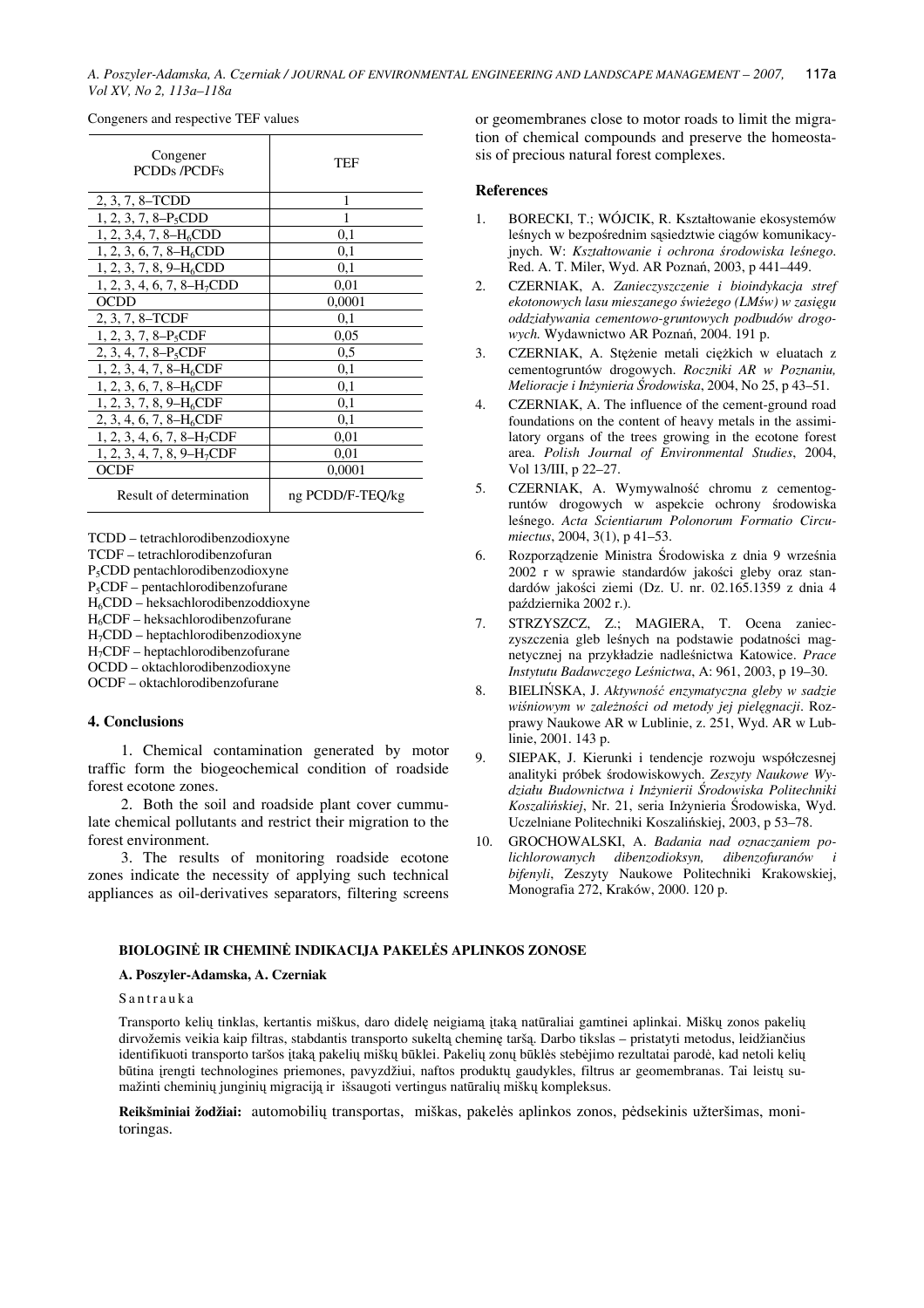*A. Poszyler-Adamska, A. Czerniak / JOURNAL OF ENVIRONMENTAL ENGINEERING AND LANDSCAPE MANAGEMENT – 2007, Vol XV, No 2, 113a–118a* 117a

| Congener<br><b>PCDDs/PCDFs</b>   | TEF              |
|----------------------------------|------------------|
| 2, 3, 7, 8-TCDD                  | 1                |
| $1, 2, 3, 7, 8-P_5CDD$           |                  |
| $1, 2, 3, 4, 7, 8-H6CDD$         | 0,1              |
| $1, 2, 3, 6, 7, 8-H6CDD$         | 0,1              |
| $1, 2, 3, 7, 8, 9-H6CDD$         | 0,1              |
| $1, 2, 3, 4, 6, 7, 8-H7CDD$      | 0.01             |
| <b>OCDD</b>                      | 0,0001           |
| 2, 3, 7, 8–TCDF                  | 0,1              |
| $1, 2, 3, 7, 8-P_5CDF$           | 0,05             |
| 2, 3, 4, 7, 8-P <sub>5</sub> CDF | 0,5              |
| $1, 2, 3, 4, 7, 8-H6CDF$         | 0,1              |
| 1, 2, 3, 6, 7, 8– $H_6CDF$       | 0,1              |
| $1, 2, 3, 7, 8, 9-H6CDF$         | 0,1              |
| 2, 3, 4, 6, 7, 8– $H_6CDF$       | 0,1              |
| $1, 2, 3, 4, 6, 7, 8-H7CDF$      | 0.01             |
| $1, 2, 3, 4, 7, 8, 9-H7CDF$      | 0.01             |
| <b>OCDF</b>                      | 0,0001           |
| Result of determination          | ng PCDD/F-TEO/kg |

Congeners and respective TEF values

TCDD – tetrachlorodibenzodioxyne TCDF – tetrachlorodibenzofuran P5CDD pentachlorodibenzodioxyne P5CDF – pentachlorodibenzofurane H6CDD – heksachlorodibenzoddioxyne H6CDF – heksachlorodibenzofurane H7CDD – heptachlorodibenzodioxyne H7CDF – heptachlorodibenzofurane OCDD – oktachlorodibenzodioxyne OCDF – oktachlorodibenzofurane

## **4. Conclusions**

1. Chemical contamination generated by motor traffic form the biogeochemical condition of roadside forest ecotone zones.

2. Both the soil and roadside plant cover cummulate chemical pollutants and restrict their migration to the forest environment.

3. The results of monitoring roadside ecotone zones indicate the necessity of applying such technical appliances as oil-derivatives separators, filtering screens or geomembranes close to motor roads to limit the migration of chemical compounds and preserve the homeostasis of precious natural forest complexes.

#### **References**

- 1. BORECKI, T.; WÓJCIK, R. Kształtowanie ekosystemów leśnych w bezpośrednim sąsiedztwie ciągów komunikacyjnych. W: *Kształtowanie i ochrona* ś*rodowiska le*ś*nego*. Red. A. T. Miler, Wyd. AR Poznań, 2003, p 441–449.
- 2. CZERNIAK, A. *Zanieczyszczenie i bioindykacja stref ekotonowych lasu mieszanego* ś*wie*ż*ego (LM*ś*w) w zasi*ę*gu oddziaływania cementowo-gruntowych podbudów drogowych.* Wydawnictwo AR Poznań, 2004. 191 p.
- 3. CZERNIAK, A. Stężenie metali ciężkich w eluatach z cementogruntów drogowych. *Roczniki AR w Poznaniu, Melioracje i In*ż*ynieria* Ś*rodowiska*, 2004, No 25, p 43–51.
- 4. CZERNIAK, A. The influence of the cement-ground road foundations on the content of heavy metals in the assimilatory organs of the trees growing in the ecotone forest area. *Polish Journal of Environmental Studies*, 2004, Vol 13/III, p 22–27.
- 5. CZERNIAK, A. Wymywalność chromu z cementogruntów drogowych w aspekcie ochrony środowiska leśnego. *Acta Scientiarum Polonorum Formatio Circumiectus*, 2004, 3(1), p 41–53.
- 6. Rozporządzenie Ministra Środowiska z dnia 9 września 2002 r w sprawie standardów jakości gleby oraz standardów jakości ziemi (Dz. U. nr. 02.165.1359 z dnia 4 października 2002 r.).
- 7. STRZYSZCZ, Z.; MAGIERA, T. Ocena zanieczyszczenia gleb leśnych na podstawie podatności magnetycznej na przykładzie nadleśnictwa Katowice. *Prace Instytutu Badawczego Le*ś*nictwa*, A: 961, 2003, p 19–30.
- 8. BIELIŃSKA, J. *Aktywno*ść *enzymatyczna gleby w sadzie wi*ś*niowym w zale*ż*no*ś*ci od metody jej piel*ę*gnacji*. Rozprawy Naukowe AR w Lublinie, z. 251, Wyd. AR w Lublinie, 2001. 143 p.
- 9. SIEPAK, J. Kierunki i tendencje rozwoju współczesnej analityki próbek środowiskowych. *Zeszyty Naukowe Wydziału Budownictwa i In*ż*ynierii* Ś*rodowiska Politechniki Koszali*ń*skiej*, Nr. 21, seria Inżynieria Środowiska, Wyd. Uczelniane Politechniki Koszalińskiej, 2003, p 53–78.
- 10. GROCHOWALSKI, A. *Badania nad oznaczaniem polichlorowanych dibenzodioksyn, dibenzofuranów i bifenyli*, Zeszyty Naukowe Politechniki Krakowskiej, Monografia 272, Kraków, 2000. 120 p.

## **BIOLOGIN**Ė **IR CHEMIN**Ė **INDIKACIJA PAKEL**Ė**S APLINKOS ZONOSE**

#### **A. Poszyler-Adamska, A. Czerniak**

### Santrauka

Transporto kelių tinklas, kertantis miškus, daro didelę neigiamą įtaką natūraliai gamtinei aplinkai. Miškų zonos pakelių dirvožemis veikia kaip filtras, stabdantis transporto sukeltą cheminę taršą. Darbo tikslas – pristatyti metodus, leidžiančius identifikuoti transporto taršos įtaką pakelių miškų būklei. Pakelių zonų būklės stebėjimo rezultatai parodė, kad netoli kelių būtina įrengti technologines priemones, pavyzdžiui, naftos produktų gaudykles, filtrus ar geomembranas. Tai leistų sumažinti cheminių junginių migraciją ir išsaugoti vertingus natūralių miškų kompleksus.

**Reikšminiai žodžiai:** automobilių transportas, miškas, pakelės aplinkos zonos, pėdsekinis užteršimas, monitoringas.